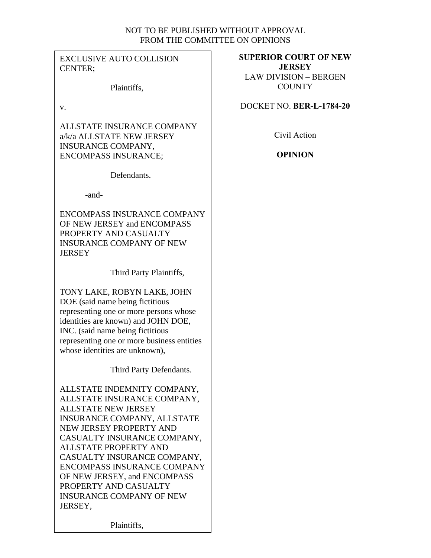# NOT TO BE PUBLISHED WITHOUT APPROVAL FROM THE COMMITTEE ON OPINIONS

EXCLUSIVE AUTO COLLISION CENTER;

Plaintiffs,

v.

ALLSTATE INSURANCE COMPANY a/k/a ALLSTATE NEW JERSEY INSURANCE COMPANY, ENCOMPASS INSURANCE;

Defendants.

-and-

ENCOMPASS INSURANCE COMPANY OF NEW JERSEY and ENCOMPASS PROPERTY AND CASUALTY INSURANCE COMPANY OF NEW **JERSEY** 

Third Party Plaintiffs,

TONY LAKE, ROBYN LAKE, JOHN DOE (said name being fictitious representing one or more persons whose identities are known) and JOHN DOE, INC. (said name being fictitious representing one or more business entities whose identities are unknown),

Third Party Defendants.

ALLSTATE INDEMNITY COMPANY, ALLSTATE INSURANCE COMPANY, ALLSTATE NEW JERSEY INSURANCE COMPANY, ALLSTATE NEW JERSEY PROPERTY AND CASUALTY INSURANCE COMPANY, ALLSTATE PROPERTY AND CASUALTY INSURANCE COMPANY, ENCOMPASS INSURANCE COMPANY OF NEW JERSEY, and ENCOMPASS PROPERTY AND CASUALTY INSURANCE COMPANY OF NEW JERSEY,

**SUPERIOR COURT OF NEW JERSEY** LAW DIVISION – BERGEN **COUNTY** 

DOCKET NO. **BER-L-1784-20**

Civil Action

**OPINION**

Plaintiffs,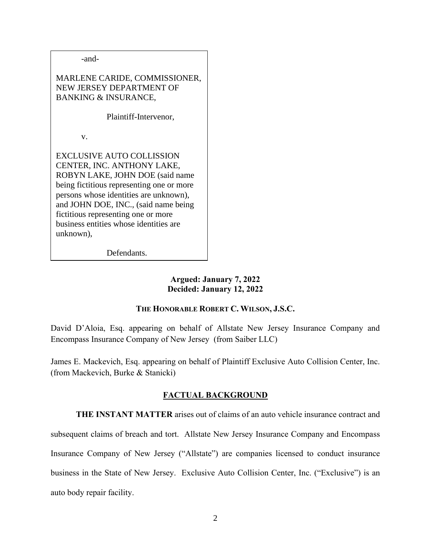-and-

MARLENE CARIDE, COMMISSIONER, NEW JERSEY DEPARTMENT OF BANKING & INSURANCE,

Plaintiff-Intervenor,

v.

EXCLUSIVE AUTO COLLISSION CENTER, INC. ANTHONY LAKE, ROBYN LAKE, JOHN DOE (said name being fictitious representing one or more persons whose identities are unknown), and JOHN DOE, INC., (said name being fictitious representing one or more business entities whose identities are unknown),

Defendants.

**Argued: January 7, 2022 Decided: January 12, 2022**

## **THE HONORABLE ROBERT C. WILSON, J.S.C.**

David D'Aloia, Esq. appearing on behalf of Allstate New Jersey Insurance Company and Encompass Insurance Company of New Jersey (from Saiber LLC)

James E. Mackevich, Esq. appearing on behalf of Plaintiff Exclusive Auto Collision Center, Inc. (from Mackevich, Burke & Stanicki)

# **FACTUAL BACKGROUND**

**THE INSTANT MATTER** arises out of claims of an auto vehicle insurance contract and subsequent claims of breach and tort. Allstate New Jersey Insurance Company and Encompass Insurance Company of New Jersey ("Allstate") are companies licensed to conduct insurance business in the State of New Jersey. Exclusive Auto Collision Center, Inc. ("Exclusive") is an auto body repair facility.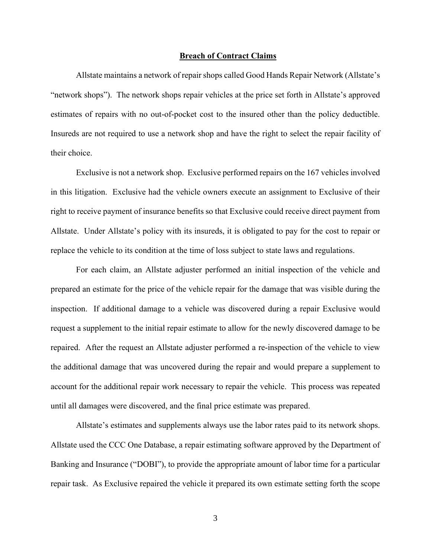#### **Breach of Contract Claims**

Allstate maintains a network of repair shops called Good Hands Repair Network (Allstate's "network shops"). The network shops repair vehicles at the price set forth in Allstate's approved estimates of repairs with no out-of-pocket cost to the insured other than the policy deductible. Insureds are not required to use a network shop and have the right to select the repair facility of their choice.

Exclusive is not a network shop. Exclusive performed repairs on the 167 vehicles involved in this litigation. Exclusive had the vehicle owners execute an assignment to Exclusive of their right to receive payment of insurance benefits so that Exclusive could receive direct payment from Allstate. Under Allstate's policy with its insureds, it is obligated to pay for the cost to repair or replace the vehicle to its condition at the time of loss subject to state laws and regulations.

For each claim, an Allstate adjuster performed an initial inspection of the vehicle and prepared an estimate for the price of the vehicle repair for the damage that was visible during the inspection. If additional damage to a vehicle was discovered during a repair Exclusive would request a supplement to the initial repair estimate to allow for the newly discovered damage to be repaired. After the request an Allstate adjuster performed a re-inspection of the vehicle to view the additional damage that was uncovered during the repair and would prepare a supplement to account for the additional repair work necessary to repair the vehicle. This process was repeated until all damages were discovered, and the final price estimate was prepared.

Allstate's estimates and supplements always use the labor rates paid to its network shops. Allstate used the CCC One Database, a repair estimating software approved by the Department of Banking and Insurance ("DOBI"), to provide the appropriate amount of labor time for a particular repair task. As Exclusive repaired the vehicle it prepared its own estimate setting forth the scope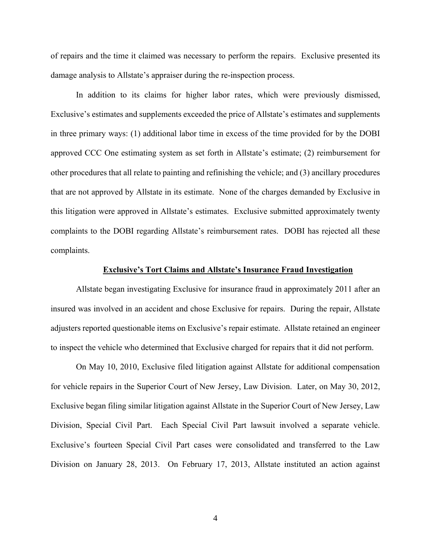of repairs and the time it claimed was necessary to perform the repairs. Exclusive presented its damage analysis to Allstate's appraiser during the re-inspection process.

In addition to its claims for higher labor rates, which were previously dismissed, Exclusive's estimates and supplements exceeded the price of Allstate's estimates and supplements in three primary ways: (1) additional labor time in excess of the time provided for by the DOBI approved CCC One estimating system as set forth in Allstate's estimate; (2) reimbursement for other procedures that all relate to painting and refinishing the vehicle; and (3) ancillary procedures that are not approved by Allstate in its estimate. None of the charges demanded by Exclusive in this litigation were approved in Allstate's estimates. Exclusive submitted approximately twenty complaints to the DOBI regarding Allstate's reimbursement rates. DOBI has rejected all these complaints.

### **Exclusive's Tort Claims and Allstate's Insurance Fraud Investigation**

Allstate began investigating Exclusive for insurance fraud in approximately 2011 after an insured was involved in an accident and chose Exclusive for repairs. During the repair, Allstate adjusters reported questionable items on Exclusive's repair estimate. Allstate retained an engineer to inspect the vehicle who determined that Exclusive charged for repairs that it did not perform.

On May 10, 2010, Exclusive filed litigation against Allstate for additional compensation for vehicle repairs in the Superior Court of New Jersey, Law Division. Later, on May 30, 2012, Exclusive began filing similar litigation against Allstate in the Superior Court of New Jersey, Law Division, Special Civil Part. Each Special Civil Part lawsuit involved a separate vehicle. Exclusive's fourteen Special Civil Part cases were consolidated and transferred to the Law Division on January 28, 2013. On February 17, 2013, Allstate instituted an action against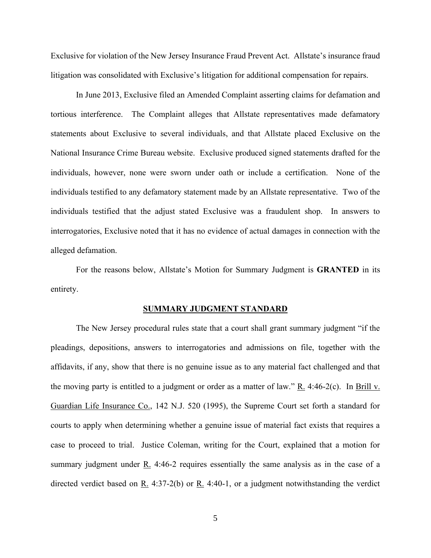Exclusive for violation of the New Jersey Insurance Fraud Prevent Act. Allstate's insurance fraud litigation was consolidated with Exclusive's litigation for additional compensation for repairs.

In June 2013, Exclusive filed an Amended Complaint asserting claims for defamation and tortious interference. The Complaint alleges that Allstate representatives made defamatory statements about Exclusive to several individuals, and that Allstate placed Exclusive on the National Insurance Crime Bureau website. Exclusive produced signed statements drafted for the individuals, however, none were sworn under oath or include a certification. None of the individuals testified to any defamatory statement made by an Allstate representative. Two of the individuals testified that the adjust stated Exclusive was a fraudulent shop. In answers to interrogatories, Exclusive noted that it has no evidence of actual damages in connection with the alleged defamation.

For the reasons below, Allstate's Motion for Summary Judgment is **GRANTED** in its entirety.

#### **SUMMARY JUDGMENT STANDARD**

The New Jersey procedural rules state that a court shall grant summary judgment "if the pleadings, depositions, answers to interrogatories and admissions on file, together with the affidavits, if any, show that there is no genuine issue as to any material fact challenged and that the moving party is entitled to a judgment or order as a matter of law." R. 4:46-2(c). In Brill v. Guardian Life Insurance Co., 142 N.J. 520 (1995), the Supreme Court set forth a standard for courts to apply when determining whether a genuine issue of material fact exists that requires a case to proceed to trial. Justice Coleman, writing for the Court, explained that a motion for summary judgment under  $R_1$ . 4:46-2 requires essentially the same analysis as in the case of a directed verdict based on  $\underline{R}$ . 4:37-2(b) or  $\underline{R}$ . 4:40-1, or a judgment notwithstanding the verdict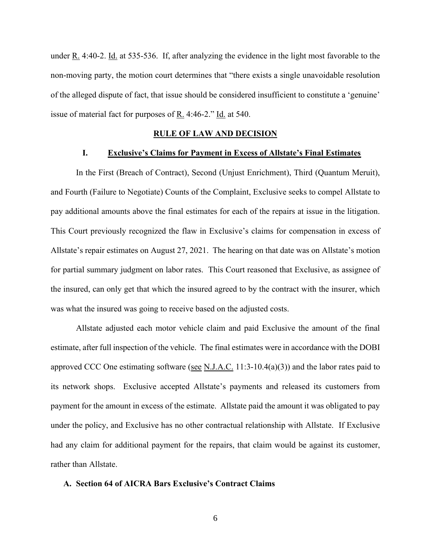under R. 4:40-2. Id. at 535-536. If, after analyzing the evidence in the light most favorable to the non-moving party, the motion court determines that "there exists a single unavoidable resolution of the alleged dispute of fact, that issue should be considered insufficient to constitute a 'genuine' issue of material fact for purposes of  $R_1$ . 4:46-2." Id. at 540.

#### **RULE OF LAW AND DECISION**

### **I. Exclusive's Claims for Payment in Excess of Allstate's Final Estimates**

In the First (Breach of Contract), Second (Unjust Enrichment), Third (Quantum Meruit), and Fourth (Failure to Negotiate) Counts of the Complaint, Exclusive seeks to compel Allstate to pay additional amounts above the final estimates for each of the repairs at issue in the litigation. This Court previously recognized the flaw in Exclusive's claims for compensation in excess of Allstate's repair estimates on August 27, 2021. The hearing on that date was on Allstate's motion for partial summary judgment on labor rates. This Court reasoned that Exclusive, as assignee of the insured, can only get that which the insured agreed to by the contract with the insurer, which was what the insured was going to receive based on the adjusted costs.

Allstate adjusted each motor vehicle claim and paid Exclusive the amount of the final estimate, after full inspection of the vehicle. The final estimates were in accordance with the DOBI approved CCC One estimating software (see N.J.A.C. 11:3-10.4(a)(3)) and the labor rates paid to its network shops. Exclusive accepted Allstate's payments and released its customers from payment for the amount in excess of the estimate. Allstate paid the amount it was obligated to pay under the policy, and Exclusive has no other contractual relationship with Allstate. If Exclusive had any claim for additional payment for the repairs, that claim would be against its customer, rather than Allstate.

### **A. Section 64 of AICRA Bars Exclusive's Contract Claims**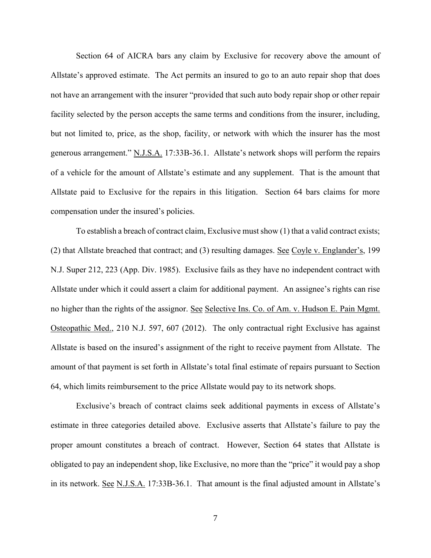Section 64 of AICRA bars any claim by Exclusive for recovery above the amount of Allstate's approved estimate. The Act permits an insured to go to an auto repair shop that does not have an arrangement with the insurer "provided that such auto body repair shop or other repair facility selected by the person accepts the same terms and conditions from the insurer, including, but not limited to, price, as the shop, facility, or network with which the insurer has the most generous arrangement." N.J.S.A. 17:33B-36.1. Allstate's network shops will perform the repairs of a vehicle for the amount of Allstate's estimate and any supplement. That is the amount that Allstate paid to Exclusive for the repairs in this litigation. Section 64 bars claims for more compensation under the insured's policies.

To establish a breach of contract claim, Exclusive must show (1) that a valid contract exists; (2) that Allstate breached that contract; and (3) resulting damages. See Coyle v. Englander's, 199 N.J. Super 212, 223 (App. Div. 1985). Exclusive fails as they have no independent contract with Allstate under which it could assert a claim for additional payment. An assignee's rights can rise no higher than the rights of the assignor. See Selective Ins. Co. of Am. v. Hudson E. Pain Mgmt. Osteopathic Med., 210 N.J. 597, 607 (2012). The only contractual right Exclusive has against Allstate is based on the insured's assignment of the right to receive payment from Allstate. The amount of that payment is set forth in Allstate's total final estimate of repairs pursuant to Section 64, which limits reimbursement to the price Allstate would pay to its network shops.

Exclusive's breach of contract claims seek additional payments in excess of Allstate's estimate in three categories detailed above. Exclusive asserts that Allstate's failure to pay the proper amount constitutes a breach of contract. However, Section 64 states that Allstate is obligated to pay an independent shop, like Exclusive, no more than the "price" it would pay a shop in its network. See N.J.S.A. 17:33B-36.1. That amount is the final adjusted amount in Allstate's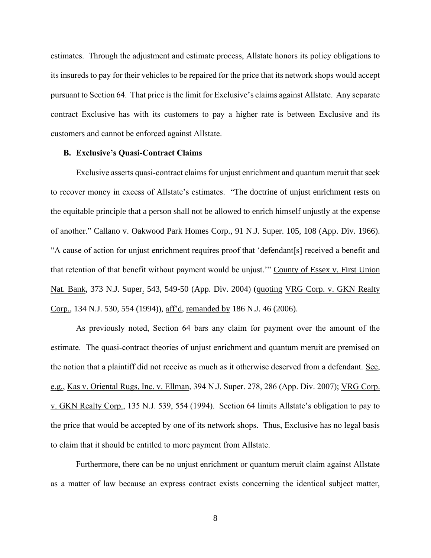estimates. Through the adjustment and estimate process, Allstate honors its policy obligations to its insureds to pay for their vehicles to be repaired for the price that its network shops would accept pursuant to Section 64. That price is the limit for Exclusive's claims against Allstate. Any separate contract Exclusive has with its customers to pay a higher rate is between Exclusive and its customers and cannot be enforced against Allstate.

## **B. Exclusive's Quasi-Contract Claims**

Exclusive asserts quasi-contract claims for unjust enrichment and quantum meruit that seek to recover money in excess of Allstate's estimates. "The doctrine of unjust enrichment rests on the equitable principle that a person shall not be allowed to enrich himself unjustly at the expense of another." Callano v. Oakwood Park Homes Corp., 91 N.J. Super. 105, 108 (App. Div. 1966). "A cause of action for unjust enrichment requires proof that 'defendant[s] received a benefit and that retention of that benefit without payment would be unjust.'" County of Essex v. First Union Nat. Bank, 373 N.J. Super. 543, 549-50 (App. Div. 2004) (quoting VRG Corp. v. GKN Realty Corp., 134 N.J. 530, 554 (1994)), aff'd, remanded by 186 N.J. 46 (2006).

As previously noted, Section 64 bars any claim for payment over the amount of the estimate. The quasi-contract theories of unjust enrichment and quantum meruit are premised on the notion that a plaintiff did not receive as much as it otherwise deserved from a defendant. See, e.g., Kas v. Oriental Rugs, Inc. v. Ellman, 394 N.J. Super. 278, 286 (App. Div. 2007); VRG Corp. v. GKN Realty Corp., 135 N.J. 539, 554 (1994). Section 64 limits Allstate's obligation to pay to the price that would be accepted by one of its network shops. Thus, Exclusive has no legal basis to claim that it should be entitled to more payment from Allstate.

Furthermore, there can be no unjust enrichment or quantum meruit claim against Allstate as a matter of law because an express contract exists concerning the identical subject matter,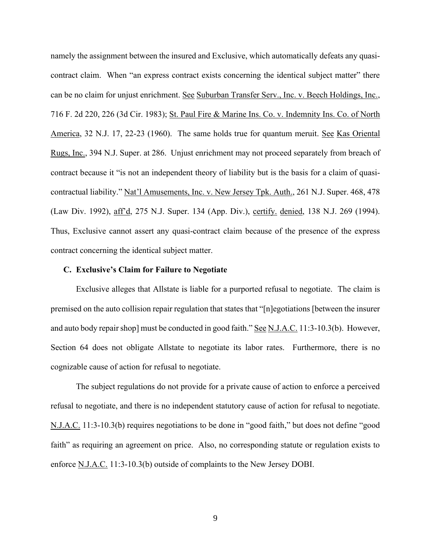namely the assignment between the insured and Exclusive, which automatically defeats any quasicontract claim. When "an express contract exists concerning the identical subject matter" there can be no claim for unjust enrichment. See Suburban Transfer Serv., Inc. v. Beech Holdings, Inc., 716 F. 2d 220, 226 (3d Cir. 1983); St. Paul Fire & Marine Ins. Co. v. Indemnity Ins. Co. of North America, 32 N.J. 17, 22-23 (1960). The same holds true for quantum meruit. See Kas Oriental Rugs, Inc., 394 N.J. Super. at 286. Unjust enrichment may not proceed separately from breach of contract because it "is not an independent theory of liability but is the basis for a claim of quasicontractual liability." Nat'l Amusements, Inc. v. New Jersey Tpk. Auth., 261 N.J. Super. 468, 478 (Law Div. 1992), aff'd, 275 N.J. Super. 134 (App. Div.), certify. denied, 138 N.J. 269 (1994). Thus, Exclusive cannot assert any quasi-contract claim because of the presence of the express contract concerning the identical subject matter.

#### **C. Exclusive's Claim for Failure to Negotiate**

Exclusive alleges that Allstate is liable for a purported refusal to negotiate. The claim is premised on the auto collision repair regulation that states that "[n]egotiations [between the insurer and auto body repair shop] must be conducted in good faith." See N.J.A.C. 11:3-10.3(b). However, Section 64 does not obligate Allstate to negotiate its labor rates. Furthermore, there is no cognizable cause of action for refusal to negotiate.

The subject regulations do not provide for a private cause of action to enforce a perceived refusal to negotiate, and there is no independent statutory cause of action for refusal to negotiate. N.J.A.C. 11:3-10.3(b) requires negotiations to be done in "good faith," but does not define "good faith" as requiring an agreement on price. Also, no corresponding statute or regulation exists to enforce N.J.A.C. 11:3-10.3(b) outside of complaints to the New Jersey DOBI.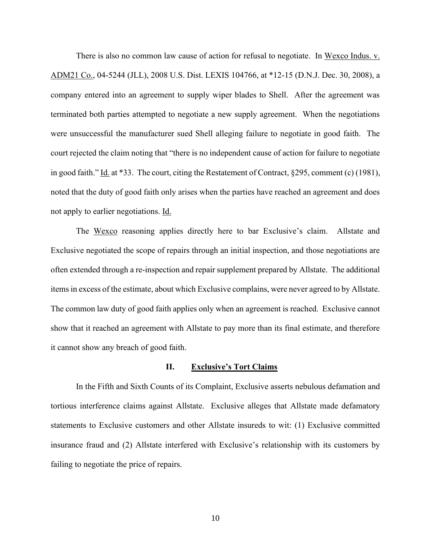There is also no common law cause of action for refusal to negotiate. In Wexco Indus. v. ADM21 Co., 04-5244 (JLL), 2008 U.S. Dist. LEXIS 104766, at \*12-15 (D.N.J. Dec. 30, 2008), a company entered into an agreement to supply wiper blades to Shell. After the agreement was terminated both parties attempted to negotiate a new supply agreement. When the negotiations were unsuccessful the manufacturer sued Shell alleging failure to negotiate in good faith. The court rejected the claim noting that "there is no independent cause of action for failure to negotiate in good faith." Id. at \*33. The court, citing the Restatement of Contract, §295, comment (c) (1981), noted that the duty of good faith only arises when the parties have reached an agreement and does not apply to earlier negotiations. Id.

The Wexco reasoning applies directly here to bar Exclusive's claim. Allstate and Exclusive negotiated the scope of repairs through an initial inspection, and those negotiations are often extended through a re-inspection and repair supplement prepared by Allstate. The additional items in excess of the estimate, about which Exclusive complains, were never agreed to by Allstate. The common law duty of good faith applies only when an agreement is reached. Exclusive cannot show that it reached an agreement with Allstate to pay more than its final estimate, and therefore it cannot show any breach of good faith.

#### **II. Exclusive's Tort Claims**

In the Fifth and Sixth Counts of its Complaint, Exclusive asserts nebulous defamation and tortious interference claims against Allstate. Exclusive alleges that Allstate made defamatory statements to Exclusive customers and other Allstate insureds to wit: (1) Exclusive committed insurance fraud and (2) Allstate interfered with Exclusive's relationship with its customers by failing to negotiate the price of repairs.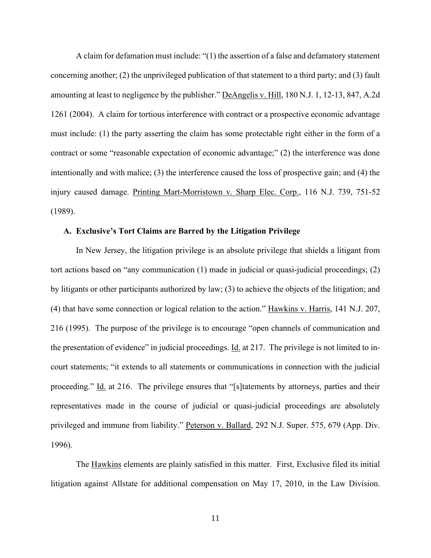A claim for defamation must include: "(1) the assertion of a false and defamatory statement concerning another; (2) the unprivileged publication of that statement to a third party; and (3) fault amounting at least to negligence by the publisher." DeAngelis v. Hill, 180 N.J. 1, 12-13, 847, A.2d 1261 (2004). A claim for tortious interference with contract or a prospective economic advantage must include: (1) the party asserting the claim has some protectable right either in the form of a contract or some "reasonable expectation of economic advantage;" (2) the interference was done intentionally and with malice; (3) the interference caused the loss of prospective gain; and (4) the injury caused damage. Printing Mart-Morristown v. Sharp Elec. Corp., 116 N.J. 739, 751-52 (1989).

## **A. Exclusive's Tort Claims are Barred by the Litigation Privilege**

In New Jersey, the litigation privilege is an absolute privilege that shields a litigant from tort actions based on "any communication (1) made in judicial or quasi-judicial proceedings; (2) by litigants or other participants authorized by law; (3) to achieve the objects of the litigation; and (4) that have some connection or logical relation to the action." Hawkins v. Harris, 141 N.J. 207, 216 (1995). The purpose of the privilege is to encourage "open channels of communication and the presentation of evidence" in judicial proceedings. Id. at 217. The privilege is not limited to incourt statements; "it extends to all statements or communications in connection with the judicial proceeding." Id. at 216. The privilege ensures that "[s] tatements by attorneys, parties and their representatives made in the course of judicial or quasi-judicial proceedings are absolutely privileged and immune from liability." Peterson v. Ballard, 292 N.J. Super. 575, 679 (App. Div. 1996).

The Hawkins elements are plainly satisfied in this matter. First, Exclusive filed its initial litigation against Allstate for additional compensation on May 17, 2010, in the Law Division.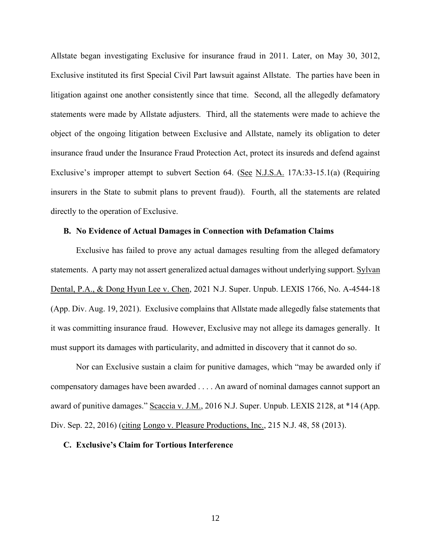Allstate began investigating Exclusive for insurance fraud in 2011. Later, on May 30, 3012, Exclusive instituted its first Special Civil Part lawsuit against Allstate. The parties have been in litigation against one another consistently since that time. Second, all the allegedly defamatory statements were made by Allstate adjusters. Third, all the statements were made to achieve the object of the ongoing litigation between Exclusive and Allstate, namely its obligation to deter insurance fraud under the Insurance Fraud Protection Act, protect its insureds and defend against Exclusive's improper attempt to subvert Section 64. (See N.J.S.A. 17A:33-15.1(a) (Requiring insurers in the State to submit plans to prevent fraud)). Fourth, all the statements are related directly to the operation of Exclusive.

## **B. No Evidence of Actual Damages in Connection with Defamation Claims**

Exclusive has failed to prove any actual damages resulting from the alleged defamatory statements. A party may not assert generalized actual damages without underlying support. Sylvan Dental, P.A., & Dong Hyun Lee v. Chen, 2021 N.J. Super. Unpub. LEXIS 1766, No. A-4544-18 (App. Div. Aug. 19, 2021). Exclusive complains that Allstate made allegedly false statements that it was committing insurance fraud. However, Exclusive may not allege its damages generally. It must support its damages with particularity, and admitted in discovery that it cannot do so.

Nor can Exclusive sustain a claim for punitive damages, which "may be awarded only if compensatory damages have been awarded . . . . An award of nominal damages cannot support an award of punitive damages." Scaccia v. J.M., 2016 N.J. Super. Unpub. LEXIS 2128, at \*14 (App. Div. Sep. 22, 2016) (citing Longo v. Pleasure Productions, Inc., 215 N.J. 48, 58 (2013).

## **C. Exclusive's Claim for Tortious Interference**